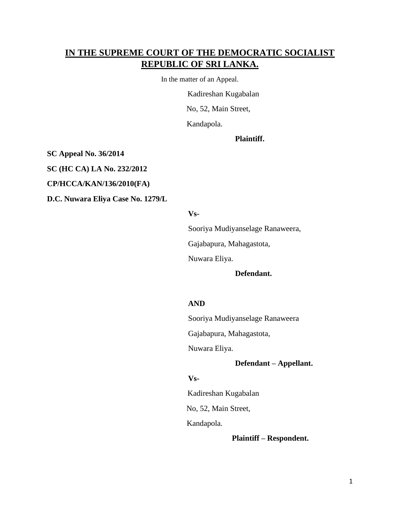# **IN THE SUPREME COURT OF THE DEMOCRATIC SOCIALIST REPUBLIC OF SRI LANKA.**

In the matter of an Appeal.

Kadireshan Kugabalan

No, 52, Main Street,

Kandapola.

**Plaintiff.**

**SC Appeal No. 36/2014**

**SC (HC CA) LA No. 232/2012**

**CP/HCCA/KAN/136/2010(FA)**

**D.C. Nuwara Eliya Case No. 1279/L**

#### **Vs-**

Sooriya Mudiyanselage Ranaweera,

Gajabapura, Mahagastota,

Nuwara Eliya.

#### **Defendant.**

#### **AND**

Sooriya Mudiyanselage Ranaweera

Gajabapura, Mahagastota,

Nuwara Eliya.

**Defendant – Appellant.**

#### **Vs-**

Kadireshan Kugabalan

No, 52, Main Street,

Kandapola.

**Plaintiff – Respondent.**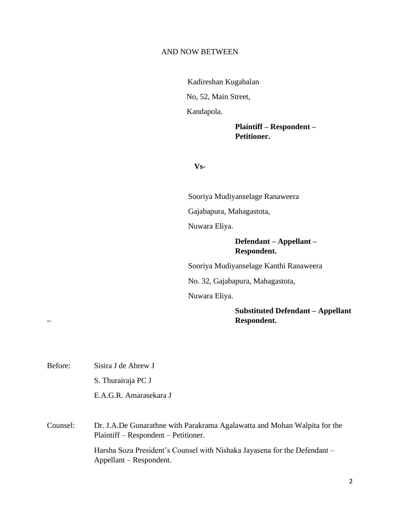#### AND NOW BETWEEN

Kadireshan Kugabalan No, 52, Main Street, Kandapola.

> **Plaintiff – Respondent – Petitioner.**

**Vs-**

Sooriya Mudiyanselage Ranaweera Gajabapura, Mahagastota, Nuwara Eliya.

### **Defendant – Appellant – Respondent.**

Sooriya Mudiyanselage Kanthi Ranaweera

No. 32, Gajabapura, Mahagastota,

Nuwara Eliya.

### **Substituted Defendant – Appellant – Respondent.**

S. Thurairaja PC J E.A.G.R. Amarasekara J Counsel: Dr. J.A.De Gunarathne with Parakrama Agalawatta and Mohan Walpita for the Plaintiff – Respondent – Petitioner. Harsha Soza President's Counsel with Nishaka Jayasena for the Defendant – Appellant – Respondent.

Before: Sisira J de Abrew J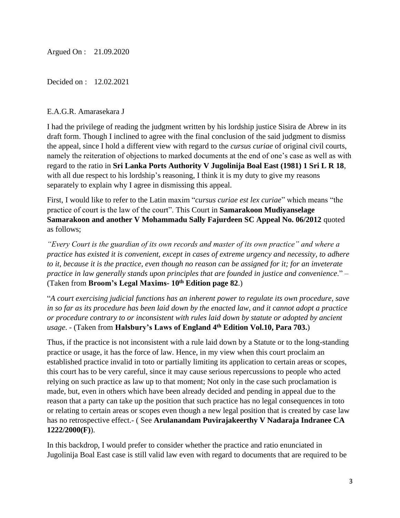Argued On : 21.09.2020

Decided on : 12.02.2021

### E.A.G.R. Amarasekara J

I had the privilege of reading the judgment written by his lordship justice Sisira de Abrew in its draft form. Though I inclined to agree with the final conclusion of the said judgment to dismiss the appeal, since I hold a different view with regard to the *cursus curiae* of original civil courts, namely the reiteration of objections to marked documents at the end of one's case as well as with regard to the ratio in **Sri Lanka Ports Authority V Jugolinija Boal East (1981) 1 Sri L R 18**, with all due respect to his lordship's reasoning, I think it is my duty to give my reasons separately to explain why I agree in dismissing this appeal.

First, I would like to refer to the Latin maxim "*cursus curiae est lex curiae*" which means "the practice of court is the law of the court". This Court in **Samarakoon Mudiyanselage Samarakoon and another V Mohammadu Sally Fajurdeen SC Appeal No. 06/2012** quoted as follows;

*"Every Court is the guardian of its own records and master of its own practice" and where a practice has existed it is convenient, except in cases of extreme urgency and necessity, to adhere to it, because it is the practice, even though no reason can be assigned for it; for an inveterate practice in law generally stands upon principles that are founded in justice and convenience*." – (Taken from **Broom's Legal Maxims- 10th Edition page 82**.)

"*A court exercising judicial functions has an inherent power to regulate its own procedure, save in so far as its procedure has been laid down by the enacted law, and it cannot adopt a practice or procedure contrary to or inconsistent with rules laid down by statute or adopted by ancient usage*. - (Taken from **Halsbury's Laws of England 4th Edition Vol.10, Para 703.**)

Thus, if the practice is not inconsistent with a rule laid down by a Statute or to the long-standing practice or usage, it has the force of law. Hence, in my view when this court proclaim an established practice invalid in toto or partially limiting its application to certain areas or scopes, this court has to be very careful, since it may cause serious repercussions to people who acted relying on such practice as law up to that moment; Not only in the case such proclamation is made, but, even in others which have been already decided and pending in appeal due to the reason that a party can take up the position that such practice has no legal consequences in toto or relating to certain areas or scopes even though a new legal position that is created by case law has no retrospective effect.- ( See **Arulanandam Puvirajakeerthy V Nadaraja Indranee CA 1222/2000(F)**).

In this backdrop, I would prefer to consider whether the practice and ratio enunciated in Jugolinija Boal East case is still valid law even with regard to documents that are required to be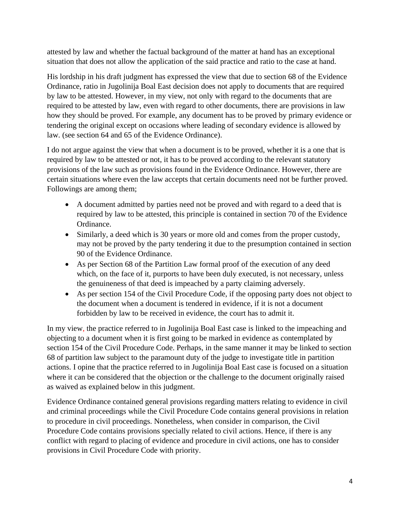attested by law and whether the factual background of the matter at hand has an exceptional situation that does not allow the application of the said practice and ratio to the case at hand.

His lordship in his draft judgment has expressed the view that due to section 68 of the Evidence Ordinance, ratio in Jugolinija Boal East decision does not apply to documents that are required by law to be attested. However, in my view, not only with regard to the documents that are required to be attested by law, even with regard to other documents, there are provisions in law how they should be proved. For example, any document has to be proved by primary evidence or tendering the original except on occasions where leading of secondary evidence is allowed by law. (see section 64 and 65 of the Evidence Ordinance).

I do not argue against the view that when a document is to be proved, whether it is a one that is required by law to be attested or not, it has to be proved according to the relevant statutory provisions of the law such as provisions found in the Evidence Ordinance. However, there are certain situations where even the law accepts that certain documents need not be further proved. Followings are among them;

- A document admitted by parties need not be proved and with regard to a deed that is required by law to be attested, this principle is contained in section 70 of the Evidence Ordinance.
- Similarly, a deed which is 30 years or more old and comes from the proper custody, may not be proved by the party tendering it due to the presumption contained in section 90 of the Evidence Ordinance.
- As per Section 68 of the Partition Law formal proof of the execution of any deed which, on the face of it, purports to have been duly executed, is not necessary, unless the genuineness of that deed is impeached by a party claiming adversely.
- As per section 154 of the Civil Procedure Code, if the opposing party does not object to the document when a document is tendered in evidence, if it is not a document forbidden by law to be received in evidence, the court has to admit it.

In my view, the practice referred to in Jugolinija Boal East case is linked to the impeaching and objecting to a document when it is first going to be marked in evidence as contemplated by section 154 of the Civil Procedure Code. Perhaps, in the same manner it may be linked to section 68 of partition law subject to the paramount duty of the judge to investigate title in partition actions. I opine that the practice referred to in Jugolinija Boal East case is focused on a situation where it can be considered that the objection or the challenge to the document originally raised as waived as explained below in this judgment.

Evidence Ordinance contained general provisions regarding matters relating to evidence in civil and criminal proceedings while the Civil Procedure Code contains general provisions in relation to procedure in civil proceedings. Nonetheless, when consider in comparison, the Civil Procedure Code contains provisions specially related to civil actions. Hence, if there is any conflict with regard to placing of evidence and procedure in civil actions, one has to consider provisions in Civil Procedure Code with priority.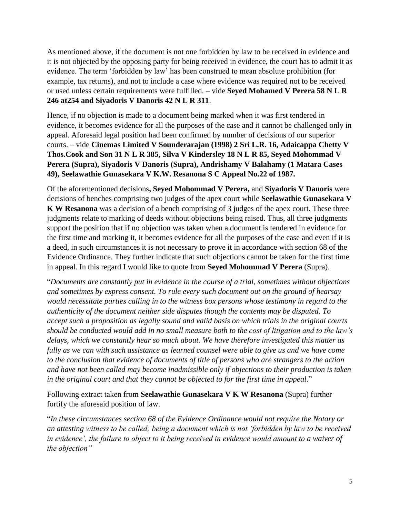As mentioned above, if the document is not one forbidden by law to be received in evidence and it is not objected by the opposing party for being received in evidence, the court has to admit it as evidence. The term 'forbidden by law' has been construed to mean absolute prohibition (for example, tax returns), and not to include a case where evidence was required not to be received or used unless certain requirements were fulfilled. – vide **Seyed Mohamed V Perera 58 N L R 246 at254 and Siyadoris V Danoris 42 N L R 311**.

Hence, if no objection is made to a document being marked when it was first tendered in evidence, it becomes evidence for all the purposes of the case and it cannot be challenged only in appeal. Aforesaid legal position had been confirmed by number of decisions of our superior courts. – vide **Cinemas Limited V Sounderarajan (1998) 2 Sri L.R. 16, Adaicappa Chetty V Thos.Cook and Son 31 N L R 385, Silva V Kindersley 18 N L R 85, Seyed Mohommad V Perera (Supra), Siyadoris V Danoris (Supra), Andrishamy V Balahamy (1 Matara Cases 49), Seelawathie Gunasekara V K.W. Resanona S C Appeal No.22 of 1987.**

Of the aforementioned decisions**, Seyed Mohommad V Perera,** and **Siyadoris V Danoris** were decisions of benches comprising two judges of the apex court while **Seelawathie Gunasekara V K W Resanona** was a decision of a bench comprising of 3 judges of the apex court. These three judgments relate to marking of deeds without objections being raised. Thus, all three judgments support the position that if no objection was taken when a document is tendered in evidence for the first time and marking it, it becomes evidence for all the purposes of the case and even if it is a deed, in such circumstances it is not necessary to prove it in accordance with section 68 of the Evidence Ordinance. They further indicate that such objections cannot be taken for the first time in appeal. In this regard I would like to quote from **Seyed Mohommad V Perera** (Supra).

"*Documents are constantly put in evidence in the course of a trial, sometimes without objections and sometimes by express consent. To rule every such document out on the ground of hearsay would necessitate parties calling in to the witness box persons whose testimony in regard to the authenticity of the document neither side disputes though the contents may be disputed. To accept such a proposition as legally sound and valid basis on which trials in the original courts should be conducted would add in no small measure both to the cost of litigation and to the law's delays, which we constantly hear so much about. We have therefore investigated this matter as fully as we can with such assistance as learned counsel were able to give us and we have come to the conclusion that evidence of documents of title of persons who are strangers to the action and have not been called may become inadmissible only if objections to their production is taken in the original court and that they cannot be objected to for the first time in appeal*."

Following extract taken from **Seelawathie Gunasekara V K W Resanona** (Supra) further fortify the aforesaid position of law.

"*In these circumstances section 68 of the Evidence Ordinance would not require the Notary or an attesting witness to be called; being a document which is not 'forbidden by law to be received in evidence', the failure to object to it being received in evidence would amount to a waiver of the objection"*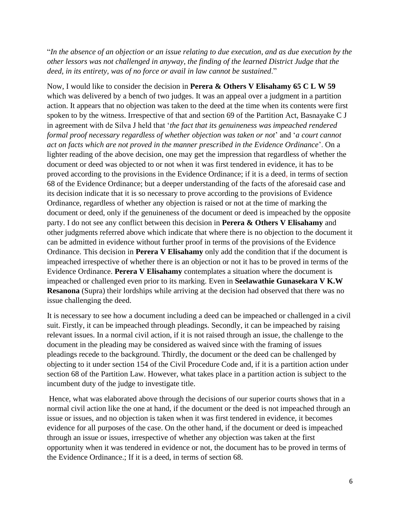"*In the absence of an objection or an issue relating to due execution, and as due execution by the other lessors was not challenged in anyway, the finding of the learned District Judge that the deed, in its entirety, was of no force or avail in law cannot be sustained*."

Now, I would like to consider the decision in **Perera & Others V Elisahamy 65 C L W 59** which was delivered by a bench of two judges. It was an appeal over a judgment in a partition action. It appears that no objection was taken to the deed at the time when its contents were first spoken to by the witness. Irrespective of that and section 69 of the Partition Act, Basnayake C J in agreement with de Silva J held that '*the fact that its genuineness was impeached rendered formal proof necessary regardless of whether objection was taken or not*' and '*a court cannot act on facts which are not proved in the manner prescribed in the Evidence Ordinance*'. On a lighter reading of the above decision, one may get the impression that regardless of whether the document or deed was objected to or not when it was first tendered in evidence, it has to be proved according to the provisions in the Evidence Ordinance; if it is a deed, in terms of section 68 of the Evidence Ordinance; but a deeper understanding of the facts of the aforesaid case and its decision indicate that it is so necessary to prove according to the provisions of Evidence Ordinance, regardless of whether any objection is raised or not at the time of marking the document or deed, only if the genuineness of the document or deed is impeached by the opposite party. I do not see any conflict between this decision in **Perera & Others V Elisahamy** and other judgments referred above which indicate that where there is no objection to the document it can be admitted in evidence without further proof in terms of the provisions of the Evidence Ordinance. This decision in **Perera V Elisahamy** only add the condition that if the document is impeached irrespective of whether there is an objection or not it has to be proved in terms of the Evidence Ordinance. **Perera V Elisahamy** contemplates a situation where the document is impeached or challenged even prior to its marking. Even in **Seelawathie Gunasekara V K.W Resanona** (Supra) their lordships while arriving at the decision had observed that there was no issue challenging the deed.

It is necessary to see how a document including a deed can be impeached or challenged in a civil suit. Firstly, it can be impeached through pleadings. Secondly, it can be impeached by raising relevant issues. In a normal civil action, if it is not raised through an issue, the challenge to the document in the pleading may be considered as waived since with the framing of issues pleadings recede to the background. Thirdly, the document or the deed can be challenged by objecting to it under section 154 of the Civil Procedure Code and, if it is a partition action under section 68 of the Partition Law. However, what takes place in a partition action is subject to the incumbent duty of the judge to investigate title.

Hence, what was elaborated above through the decisions of our superior courts shows that in a normal civil action like the one at hand, if the document or the deed is not impeached through an issue or issues, and no objection is taken when it was first tendered in evidence, it becomes evidence for all purposes of the case. On the other hand, if the document or deed is impeached through an issue or issues, irrespective of whether any objection was taken at the first opportunity when it was tendered in evidence or not, the document has to be proved in terms of the Evidence Ordinance.; If it is a deed, in terms of section 68.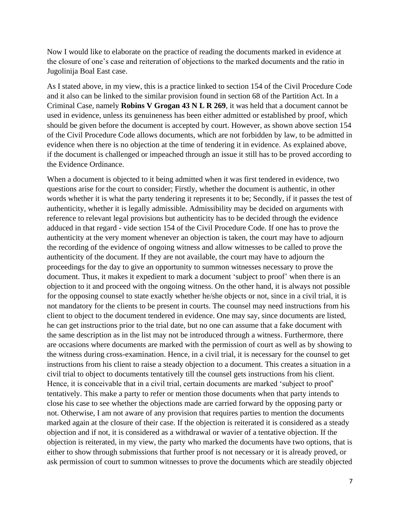Now I would like to elaborate on the practice of reading the documents marked in evidence at the closure of one's case and reiteration of objections to the marked documents and the ratio in Jugolinija Boal East case.

As I stated above, in my view, this is a practice linked to section 154 of the Civil Procedure Code and it also can be linked to the similar provision found in section 68 of the Partition Act. In a Criminal Case, namely **Robins V Grogan 43 N L R 269**, it was held that a document cannot be used in evidence, unless its genuineness has been either admitted or established by proof, which should be given before the document is accepted by court. However, as shown above section 154 of the Civil Procedure Code allows documents, which are not forbidden by law, to be admitted in evidence when there is no objection at the time of tendering it in evidence. As explained above, if the document is challenged or impeached through an issue it still has to be proved according to the Evidence Ordinance.

When a document is objected to it being admitted when it was first tendered in evidence, two questions arise for the court to consider; Firstly, whether the document is authentic, in other words whether it is what the party tendering it represents it to be; Secondly, if it passes the test of authenticity, whether it is legally admissible. Admissibility may be decided on arguments with reference to relevant legal provisions but authenticity has to be decided through the evidence adduced in that regard - vide section 154 of the Civil Procedure Code. If one has to prove the authenticity at the very moment whenever an objection is taken, the court may have to adjourn the recording of the evidence of ongoing witness and allow witnesses to be called to prove the authenticity of the document. If they are not available, the court may have to adjourn the proceedings for the day to give an opportunity to summon witnesses necessary to prove the document. Thus, it makes it expedient to mark a document 'subject to proof' when there is an objection to it and proceed with the ongoing witness. On the other hand, it is always not possible for the opposing counsel to state exactly whether he/she objects or not, since in a civil trial, it is not mandatory for the clients to be present in courts. The counsel may need instructions from his client to object to the document tendered in evidence. One may say, since documents are listed, he can get instructions prior to the trial date, but no one can assume that a fake document with the same description as in the list may not be introduced through a witness. Furthermore, there are occasions where documents are marked with the permission of court as well as by showing to the witness during cross-examination. Hence, in a civil trial, it is necessary for the counsel to get instructions from his client to raise a steady objection to a document. This creates a situation in a civil trial to object to documents tentatively till the counsel gets instructions from his client. Hence, it is conceivable that in a civil trial, certain documents are marked 'subject to proof' tentatively. This make a party to refer or mention those documents when that party intends to close his case to see whether the objections made are carried forward by the opposing party or not. Otherwise, I am not aware of any provision that requires parties to mention the documents marked again at the closure of their case. If the objection is reiterated it is considered as a steady objection and if not, it is considered as a withdrawal or wavier of a tentative objection. If the objection is reiterated, in my view, the party who marked the documents have two options, that is either to show through submissions that further proof is not necessary or it is already proved, or ask permission of court to summon witnesses to prove the documents which are steadily objected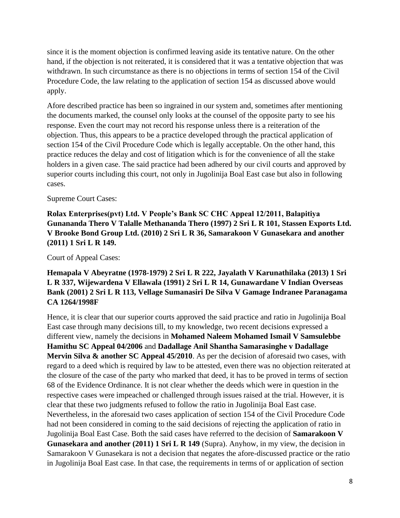since it is the moment objection is confirmed leaving aside its tentative nature. On the other hand, if the objection is not reiterated, it is considered that it was a tentative objection that was withdrawn. In such circumstance as there is no objections in terms of section 154 of the Civil Procedure Code, the law relating to the application of section 154 as discussed above would apply.

Afore described practice has been so ingrained in our system and, sometimes after mentioning the documents marked, the counsel only looks at the counsel of the opposite party to see his response. Even the court may not record his response unless there is a reiteration of the objection. Thus, this appears to be a practice developed through the practical application of section 154 of the Civil Procedure Code which is legally acceptable. On the other hand, this practice reduces the delay and cost of litigation which is for the convenience of all the stake holders in a given case. The said practice had been adhered by our civil courts and approved by superior courts including this court, not only in Jugolinija Boal East case but also in following cases.

#### Supreme Court Cases:

**Rolax Enterprises(pvt) Ltd. V People's Bank SC CHC Appeal 12/2011, Balapitiya Gunananda Thero V Talalle Methananda Thero (1997) 2 Sri L R 101, Stassen Exports Ltd. V Brooke Bond Group Ltd. (2010) 2 Sri L R 36, Samarakoon V Gunasekara and another (2011) 1 Sri L R 149.**

Court of Appeal Cases:

## **Hemapala V Abeyratne (1978-1979) 2 Sri L R 222, Jayalath V Karunathilaka (2013) 1 Sri L R 337, Wijewardena V Ellawala (1991) 2 Sri L R 14, Gunawardane V Indian Overseas Bank (2001) 2 Sri L R 113, Vellage Sumanasiri De Silva V Gamage Indranee Paranagama CA 1264/1998F**

Hence, it is clear that our superior courts approved the said practice and ratio in Jugolinija Boal East case through many decisions till, to my knowledge, two recent decisions expressed a different view, namely the decisions in **Mohamed Naleem Mohamed Ismail V Samsulebbe Hamithu SC Appeal 04/2006** and **Dadallage Anil Shantha Samarasinghe v Dadallage Mervin Silva & another SC Appeal 45/2010**. As per the decision of aforesaid two cases, with regard to a deed which is required by law to be attested, even there was no objection reiterated at the closure of the case of the party who marked that deed, it has to be proved in terms of section 68 of the Evidence Ordinance. It is not clear whether the deeds which were in question in the respective cases were impeached or challenged through issues raised at the trial. However, it is clear that these two judgments refused to follow the ratio in Jugolinija Boal East case. Nevertheless, in the aforesaid two cases application of section 154 of the Civil Procedure Code had not been considered in coming to the said decisions of rejecting the application of ratio in Jugolinija Boal East Case. Both the said cases have referred to the decision of **Samarakoon V Gunasekara and another (2011) 1 Sri L R 149** (Supra). Anyhow, in my view, the decision in Samarakoon V Gunasekara is not a decision that negates the afore-discussed practice or the ratio in Jugolinija Boal East case. In that case, the requirements in terms of or application of section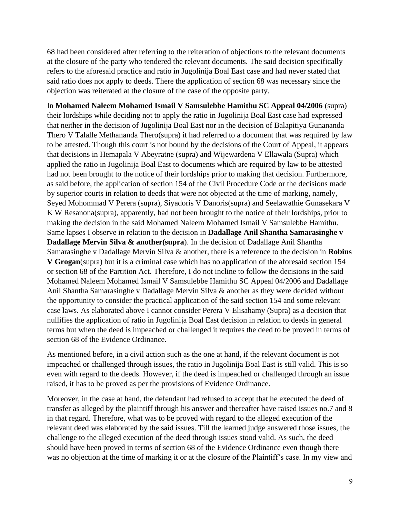68 had been considered after referring to the reiteration of objections to the relevant documents at the closure of the party who tendered the relevant documents. The said decision specifically refers to the aforesaid practice and ratio in Jugolinija Boal East case and had never stated that said ratio does not apply to deeds. There the application of section 68 was necessary since the objection was reiterated at the closure of the case of the opposite party.

In **Mohamed Naleem Mohamed Ismail V Samsulebbe Hamithu SC Appeal 04/2006** (supra) their lordships while deciding not to apply the ratio in Jugolinija Boal East case had expressed that neither in the decision of Jugolinija Boal East nor in the decision of Balapitiya Gunananda Thero V Talalle Methananda Thero(supra) it had referred to a document that was required by law to be attested. Though this court is not bound by the decisions of the Court of Appeal, it appears that decisions in Hemapala V Abeyratne (supra) and Wijewardena V Ellawala (Supra) which applied the ratio in Jugolinija Boal East to documents which are required by law to be attested had not been brought to the notice of their lordships prior to making that decision. Furthermore, as said before, the application of section 154 of the Civil Procedure Code or the decisions made by superior courts in relation to deeds that were not objected at the time of marking, namely, Seyed Mohommad V Perera (supra), Siyadoris V Danoris(supra) and Seelawathie Gunasekara V K W Resanona(supra), apparently, had not been brought to the notice of their lordships, prior to making the decision in the said Mohamed Naleem Mohamed Ismail V Samsulebbe Hamithu. Same lapses I observe in relation to the decision in **Dadallage Anil Shantha Samarasinghe v Dadallage Mervin Silva & another(supra**). In the decision of Dadallage Anil Shantha Samarasinghe v Dadallage Mervin Silva & another, there is a reference to the decision in **Robins V Grogan**(supra) but it is a criminal case which has no application of the aforesaid section 154 or section 68 of the Partition Act. Therefore, I do not incline to follow the decisions in the said Mohamed Naleem Mohamed Ismail V Samsulebbe Hamithu SC Appeal 04/2006 and Dadallage Anil Shantha Samarasinghe v Dadallage Mervin Silva & another as they were decided without the opportunity to consider the practical application of the said section 154 and some relevant case laws. As elaborated above I cannot consider Perera V Elisahamy (Supra) as a decision that nullifies the application of ratio in Jugolinija Boal East decision in relation to deeds in general terms but when the deed is impeached or challenged it requires the deed to be proved in terms of section 68 of the Evidence Ordinance.

As mentioned before, in a civil action such as the one at hand, if the relevant document is not impeached or challenged through issues, the ratio in Jugolinija Boal East is still valid. This is so even with regard to the deeds. However, if the deed is impeached or challenged through an issue raised, it has to be proved as per the provisions of Evidence Ordinance.

Moreover, in the case at hand, the defendant had refused to accept that he executed the deed of transfer as alleged by the plaintiff through his answer and thereafter have raised issues no.7 and 8 in that regard. Therefore, what was to be proved with regard to the alleged execution of the relevant deed was elaborated by the said issues. Till the learned judge answered those issues, the challenge to the alleged execution of the deed through issues stood valid. As such, the deed should have been proved in terms of section 68 of the Evidence Ordinance even though there was no objection at the time of marking it or at the closure of the Plaintiff's case. In my view and